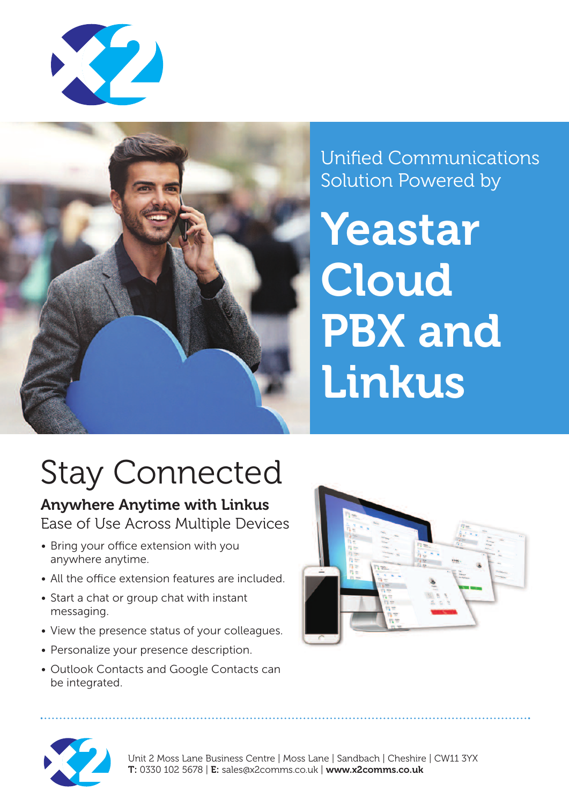



Unified Communications Solution Powered by

**Yeastar Cloud PBX and Linkus**

# Stay Connected

**Anywhere Anytime with Linkus** Ease of Use Across Multiple Devices

- Bring your office extension with you anywhere anytime.
- All the office extension features are included.
- Start a chat or group chat with instant messaging.
- View the presence status of your colleagues.
- Personalize your presence description.
- Outlook Contacts and Google Contacts can be integrated.